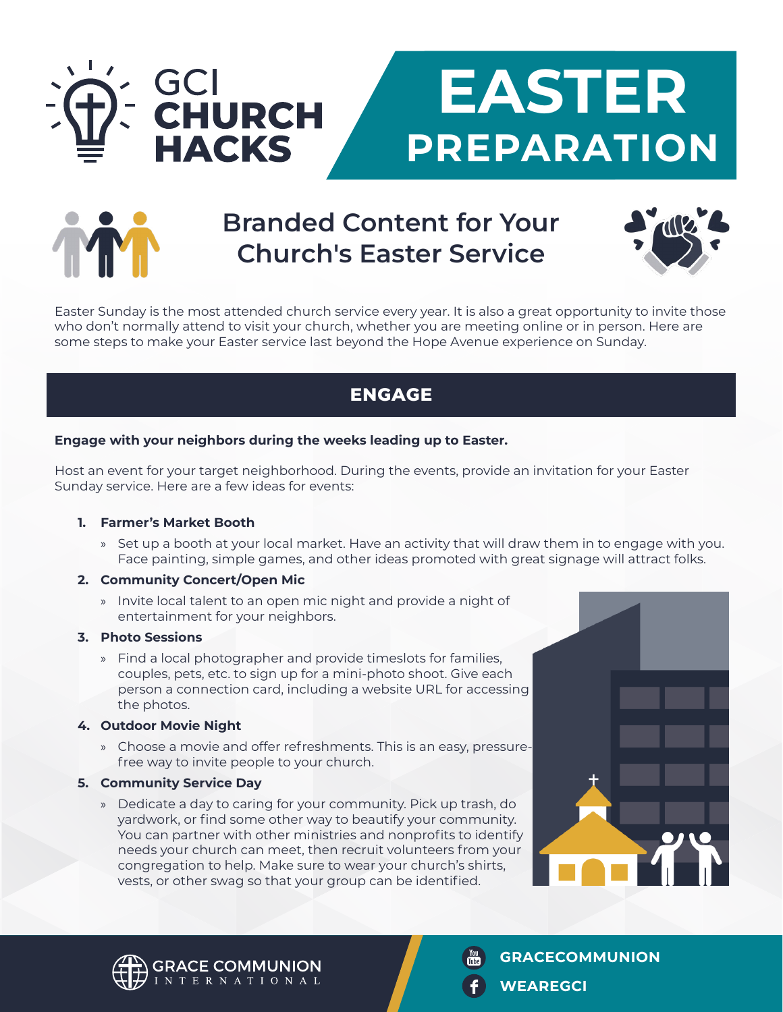

# **Branded Content for Your Church's Easter Service**



Easter Sunday is the most attended church service every year. It is also a great opportunity to invite those who don't normally attend to visit your church, whether you are meeting online or in person. Here are some steps to make your Easter service last beyond the Hope Avenue experience on Sunday.

## **ENGAGE**

#### **Engage with your neighbors during the weeks leading up to Easter.**

Host an event for your target neighborhood. During the events, provide an invitation for your Easter Sunday service. Here are a few ideas for events:

#### **1. Farmer's Market Booth**

» Set up a booth at your local market. Have an activity that will draw them in to engage with you. Face painting, simple games, and other ideas promoted with great signage will attract folks.

#### **2. Community Concert/Open Mic**

» Invite local talent to an open mic night and provide a night of entertainment for your neighbors.

#### **3. Photo Sessions**

» Find a local photographer and provide timeslots for families, couples, pets, etc. to sign up for a mini-photo shoot. Give each person a connection card, including a website URL for accessing the photos.

#### **4. Outdoor Movie Night**

» Choose a movie and offer refreshments. This is an easy, pressurefree way to invite people to your church.

#### **5. Community Service Day**

» Dedicate a day to caring for your community. Pick up trash, do yardwork, or find some other way to beautify your community. You can partner with other ministries and nonprofits to identify needs your church can meet, then recruit volunteers from your congregation to help. Make sure to wear your church's shirts, vests, or other swag so that your group can be identified.





**GRACECOMMUNION**

**WEAREGCI**